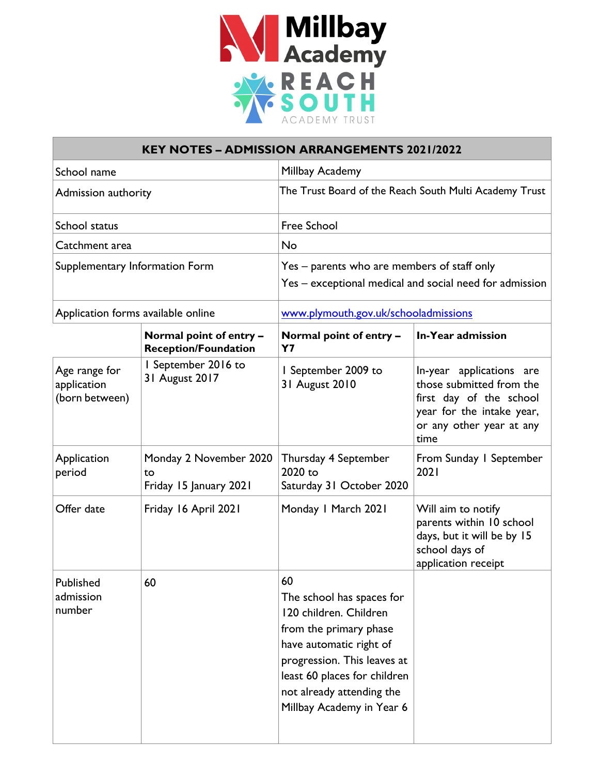

| <b>KEY NOTES - ADMISSION ARRANGEMENTS 2021/2022</b> |                                                        |                                                                                                                                                                                                                                         |                                                                                                                                                  |  |  |
|-----------------------------------------------------|--------------------------------------------------------|-----------------------------------------------------------------------------------------------------------------------------------------------------------------------------------------------------------------------------------------|--------------------------------------------------------------------------------------------------------------------------------------------------|--|--|
| School name                                         |                                                        | Millbay Academy                                                                                                                                                                                                                         |                                                                                                                                                  |  |  |
| Admission authority                                 |                                                        | The Trust Board of the Reach South Multi Academy Trust                                                                                                                                                                                  |                                                                                                                                                  |  |  |
| School status                                       |                                                        | <b>Free School</b>                                                                                                                                                                                                                      |                                                                                                                                                  |  |  |
| Catchment area                                      |                                                        | No                                                                                                                                                                                                                                      |                                                                                                                                                  |  |  |
| Supplementary Information Form                      |                                                        | Yes - parents who are members of staff only<br>Yes - exceptional medical and social need for admission                                                                                                                                  |                                                                                                                                                  |  |  |
| Application forms available online                  |                                                        | www.plymouth.gov.uk/schooladmissions                                                                                                                                                                                                    |                                                                                                                                                  |  |  |
|                                                     | Normal point of entry -<br><b>Reception/Foundation</b> | Normal point of entry -<br><b>Y7</b>                                                                                                                                                                                                    | In-Year admission                                                                                                                                |  |  |
| Age range for<br>application<br>(born between)      | I September 2016 to<br>31 August 2017                  | I September 2009 to<br>31 August 2010                                                                                                                                                                                                   | In-year applications are<br>those submitted from the<br>first day of the school<br>year for the intake year,<br>or any other year at any<br>time |  |  |
| Application<br>period                               | Monday 2 November 2020<br>to<br>Friday 15 January 2021 | Thursday 4 September<br>From Sunday I September<br>2020 to<br>2021<br>Saturday 31 October 2020                                                                                                                                          |                                                                                                                                                  |  |  |
| Offer date                                          | Friday 16 April 2021                                   | Monday I March 2021<br>Will aim to notify<br>parents within 10 school<br>days, but it will be by 15<br>school days of<br>application receipt                                                                                            |                                                                                                                                                  |  |  |
| Published<br>admission<br>number                    | 60                                                     | 60<br>The school has spaces for<br>120 children. Children<br>from the primary phase<br>have automatic right of<br>progression. This leaves at<br>least 60 places for children<br>not already attending the<br>Millbay Academy in Year 6 |                                                                                                                                                  |  |  |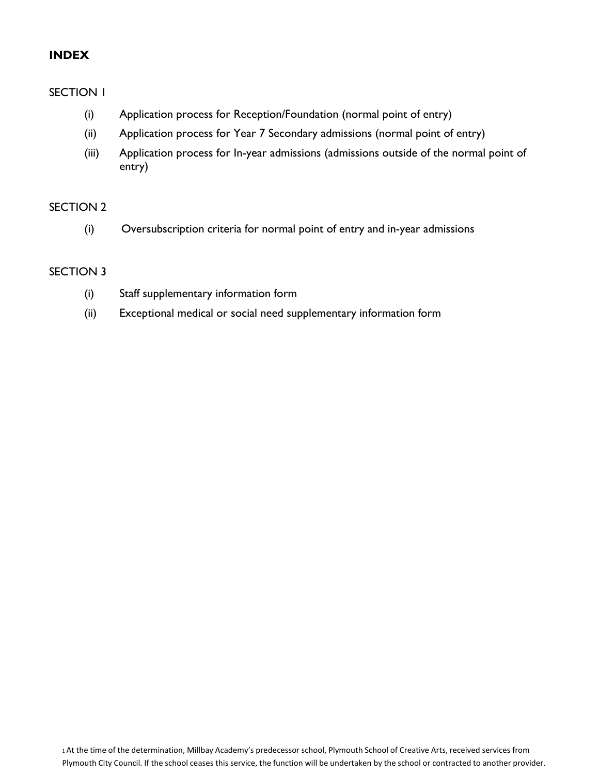## **INDEX**

#### SECTION 1

- (i) Application process for Reception/Foundation (normal point of entry)
- (ii) Application process for Year 7 Secondary admissions (normal point of entry)
- (iii) Application process for In-year admissions (admissions outside of the normal point of entry)

#### SECTION 2

(i) Oversubscription criteria for normal point of entry and in-year admissions

## SECTION 3

- (i) Staff supplementary information form
- (ii) Exceptional medical or social need supplementary information form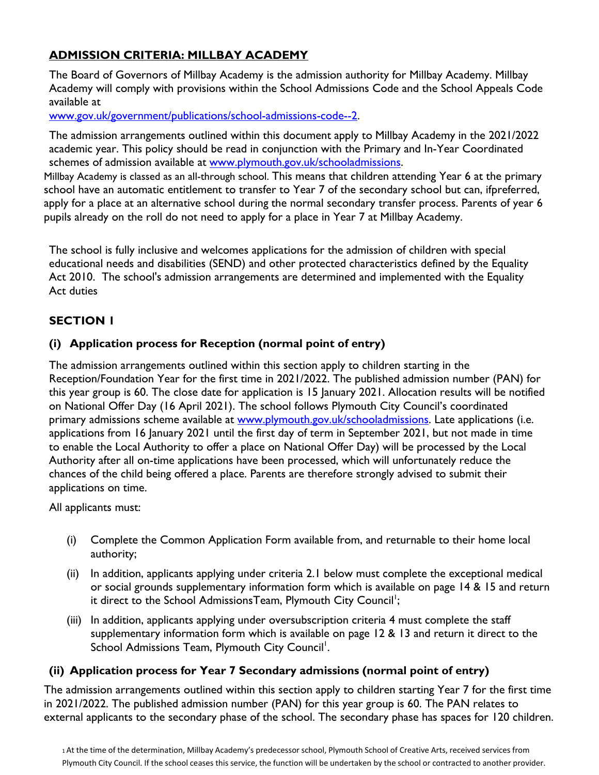# **ADMISSION CRITERIA: MILLBAY ACADEMY**

The Board of Governors of Millbay Academy is the admission authority for Millbay Academy. Millbay Academy will comply with provisions within the School Admissions Code and the School Appeals Code available at

[www.gov.uk/government/publications/school-admissions-code--2.](http://www.gov.uk/government/publications/school-admissions-code--2)

The admission arrangements outlined within this document apply to Millbay Academy in the 2021/2022 academic year. This policy should be read in conjunction with the Primary and In-Year Coordinated schemes of admission available at [www.plymouth.gov.uk/schooladmissions.](http://www.plymouth.gov.uk/schooladmissions)

Millbay Academy is classed as an all-through school. This means that children attending Year 6 at the primary school have an automatic entitlement to transfer to Year 7 of the secondary school but can, ifpreferred, apply for a place at an alternative school during the normal secondary transfer process. Parents of year 6 pupils already on the roll do not need to apply for a place in Year 7 at Millbay Academy.

The school is fully inclusive and welcomes applications for the admission of children with special educational needs and disabilities (SEND) and other protected characteristics defined by the Equality Act 2010. The school's admission arrangements are determined and implemented with the Equality Act duties

# **SECTION 1**

# **(i) Application process for Reception (normal point of entry)**

The admission arrangements outlined within this section apply to children starting in the Reception/Foundation Year for the first time in 2021/2022. The published admission number (PAN) for this year group is 60. The close date for application is 15 January 2021. Allocation results will be notified on National Offer Day (16 April 2021). The school follows Plymouth City Council's coordinated primary admissions scheme available at [www.plymouth.gov.uk/schooladmissions.](http://www.plymouth.gov.uk/schooladmissions) Late applications (i.e. applications from 16 January 2021 until the first day of term in September 2021, but not made in time to enable the Local Authority to offer a place on National Offer Day) will be processed by the Local Authority after all on-time applications have been processed, which will unfortunately reduce the chances of the child being offered a place. Parents are therefore strongly advised to submit their applications on time.

All applicants must:

- (i) Complete the Common Application Form available from, and returnable to their home local authority;
- (ii) In addition, applicants applying under criteria 2.1 below must complete the exceptional medical or social grounds supplementary information form which is available on page 14 & 15 and return it direct to the School AdmissionsTeam, Plymouth City Council<sup>1</sup>;
- (iii) In addition, applicants applying under oversubscription criteria 4 must complete the staff supplementary information form which is available on page 12 & 13 and return it direct to the School Admissions Team, Plymouth City Council<sup>1</sup>.

# **(ii) Application process for Year 7 Secondary admissions (normal point of entry)**

The admission arrangements outlined within this section apply to children starting Year 7 for the first time in 2021/2022. The published admission number (PAN) for this year group is 60. The PAN relates to external applicants to the secondary phase of the school. The secondary phase has spaces for 120 children.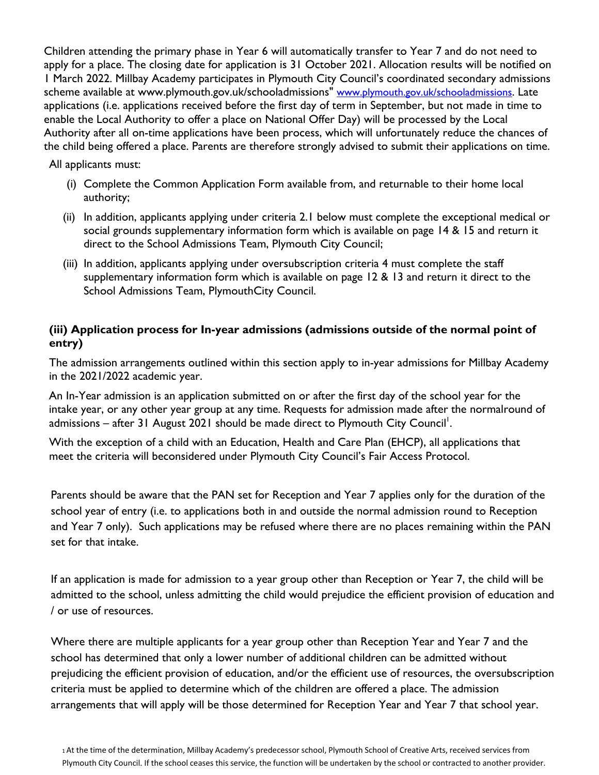Children attending the primary phase in Year 6 will automatically transfer to Year 7 and do not need to apply for a place. The closing date for application is 31 October 2021. Allocation results will be notified on 1 March 2022. Millbay Academy participates in Plymouth City Council's coordinated secondary admissions scheme available at www.plymouth.gov.uk/schooladmissions" www.plymouth.gov.uk/schooladmissions. Late applications (i.e. applications received before the first day of term in September, but not made in time to enable the Local Authority to offer a place on National Offer Day) will be processed by the Local Authority after all on-time applications have been process, which will unfortunately reduce the chances of the child being offered a place. Parents are therefore strongly advised to submit their applications on time.

All applicants must:

- (i) Complete the Common Application Form available from, and returnable to their home local authority;
- (ii) In addition, applicants applying under criteria 2.1 below must complete the exceptional medical or social grounds supplementary information form which is available on page 14 & 15 and return it direct to the School Admissions Team, Plymouth City Council;
- (iii) In addition, applicants applying under oversubscription criteria 4 must complete the staff supplementary information form which is available on page 12 & 13 and return it direct to the School Admissions Team, PlymouthCity Council.

## **(iii) Application process for In-year admissions (admissions outside of the normal point of entry)**

The admission arrangements outlined within this section apply to in-year admissions for Millbay Academy in the 2021/2022 academic year.

An In-Year admission is an application submitted on or after the first day of the school year for the intake year, or any other year group at any time. Requests for admission made after the normalround of admissions – after 31 August 2021 should be made direct to Plymouth City Council<sup>1</sup>.

With the exception of a child with an Education, Health and Care Plan (EHCP), all applications that meet the criteria will beconsidered under Plymouth City Council's Fair Access Protocol.

Parents should be aware that the PAN set for Reception and Year 7 applies only for the duration of the school year of entry (i.e. to applications both in and outside the normal admission round to Reception and Year 7 only). Such applications may be refused where there are no places remaining within the PAN set for that intake.

If an application is made for admission to a year group other than Reception or Year 7, the child will be admitted to the school, unless admitting the child would prejudice the efficient provision of education and / or use of resources.

Where there are multiple applicants for a year group other than Reception Year and Year 7 and the school has determined that only a lower number of additional children can be admitted without prejudicing the efficient provision of education, and/or the efficient use of resources, the oversubscription criteria must be applied to determine which of the children are offered a place. The admission arrangements that will apply will be those determined for Reception Year and Year 7 that school year.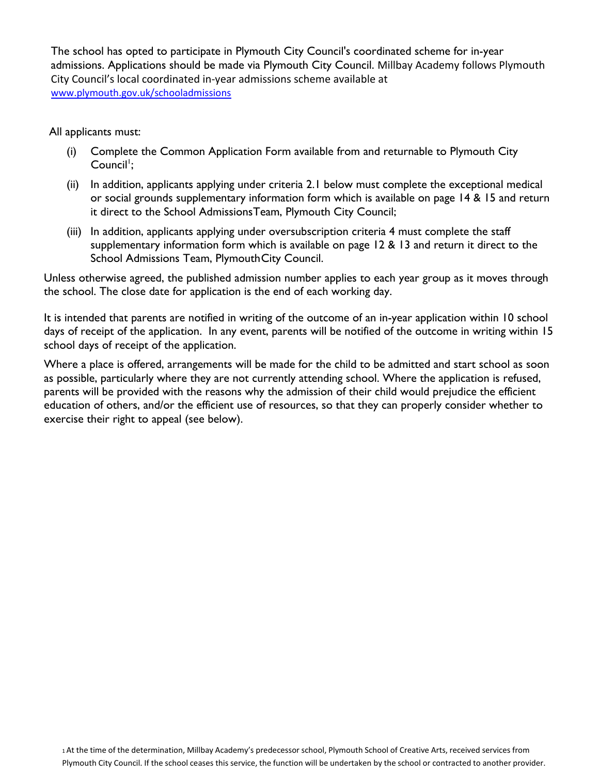The school has opted to participate in Plymouth City Council's coordinated scheme for in-year admissions. Applications should be made via Plymouth City Council. Millbay Academy follows Plymouth City Council's local coordinated in-year admissions scheme available at [www.plymouth.gov.uk/schooladmissions](about:blank) 

All applicants must:

- (i) Complete the Common Application Form available from and returnable to Plymouth City Council<sup>1</sup>;
- (ii) In addition, applicants applying under criteria 2.1 below must complete the exceptional medical or social grounds supplementary information form which is available on page 14 & 15 and return it direct to the School AdmissionsTeam, Plymouth City Council;
- (iii) In addition, applicants applying under oversubscription criteria 4 must complete the staff supplementary information form which is available on page 12 & 13 and return it direct to the School Admissions Team, Plymouth City Council.

Unless otherwise agreed, the published admission number applies to each year group as it moves through the school. The close date for application is the end of each working day.

It is intended that parents are notified in writing of the outcome of an in-year application within 10 school days of receipt of the application. In any event, parents will be notified of the outcome in writing within 15 school days of receipt of the application.

Where a place is offered, arrangements will be made for the child to be admitted and start school as soon as possible, particularly where they are not currently attending school. Where the application is refused, parents will be provided with the reasons why the admission of their child would prejudice the efficient education of others, and/or the efficient use of resources, so that they can properly consider whether to exercise their right to appeal (see below).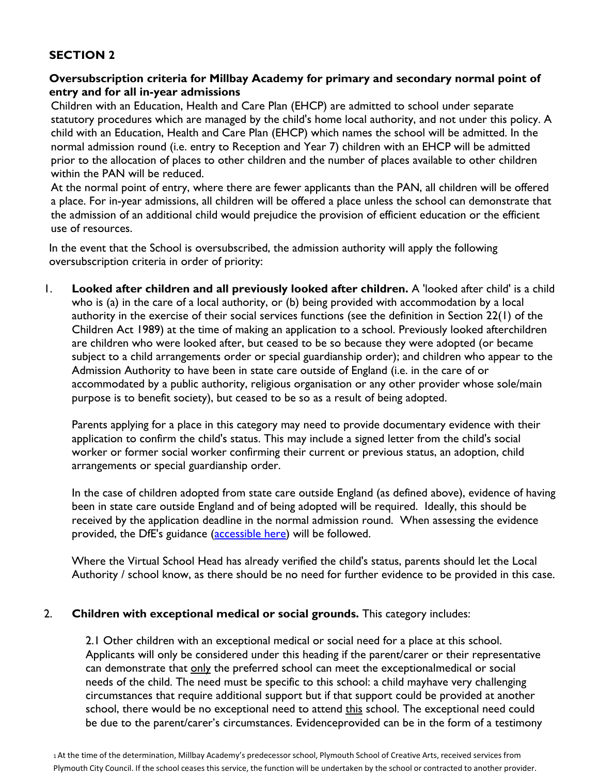# **SECTION 2**

## **Oversubscription criteria for Millbay Academy for primary and secondary normal point of entry and for all in-year admissions**

Children with an Education, Health and Care Plan (EHCP) are admitted to school under separate statutory procedures which are managed by the child's home local authority, and not under this policy. A child with an Education, Health and Care Plan (EHCP) which names the school will be admitted. In the normal admission round (i.e. entry to Reception and Year 7) children with an EHCP will be admitted prior to the allocation of places to other children and the number of places available to other children within the PAN will be reduced.

At the normal point of entry, where there are fewer applicants than the PAN, all children will be offered a place. For in-year admissions, all children will be offered a place unless the school can demonstrate that the admission of an additional child would prejudice the provision of efficient education or the efficient use of resources.

In the event that the School is oversubscribed, the admission authority will apply the following oversubscription criteria in order of priority:

1. **Looked after children and all previously looked after children.** A 'looked after child' is a child who is (a) in the care of a local authority, or (b) being provided with accommodation by a local authority in the exercise of their social services functions (see the definition in Section 22(1) of the Children Act 1989) at the time of making an application to a school. Previously looked afterchildren are children who were looked after, but ceased to be so because they were adopted (or became subject to a child arrangements order or special guardianship order); and children who appear to the Admission Authority to have been in state care outside of England (i.e. in the care of or accommodated by a public authority, religious organisation or any other provider whose sole/main purpose is to benefit society), but ceased to be so as a result of being adopted.

Parents applying for a place in this category may need to provide documentary evidence with their application to confirm the child's status. This may include a signed letter from the child's social worker or former social worker confirming their current or previous status, an adoption, child arrangements or special guardianship order.

In the case of children adopted from state care outside England (as defined above), evidence of having been in state care outside England and of being adopted will be required. Ideally, this should be received by the application deadline in the normal admission round. When assessing the evidence provided, the DfE's guidance [\(accessible here\)](about:blank) will be followed.

Where the Virtual School Head has already verified the child's status, parents should let the Local Authority / school know, as there should be no need for further evidence to be provided in this case.

## 2. **Children with exceptional medical or social grounds.** This category includes:

2.1 Other children with an exceptional medical or social need for a place at this school. Applicants will only be considered under this heading if the parent/carer or their representative can demonstrate that only the preferred school can meet the exceptionalmedical or social needs of the child. The need must be specific to this school: a child mayhave very challenging circumstances that require additional support but if that support could be provided at another school, there would be no exceptional need to attend this school. The exceptional need could be due to the parent/carer's circumstances. Evidenceprovided can be in the form of a testimony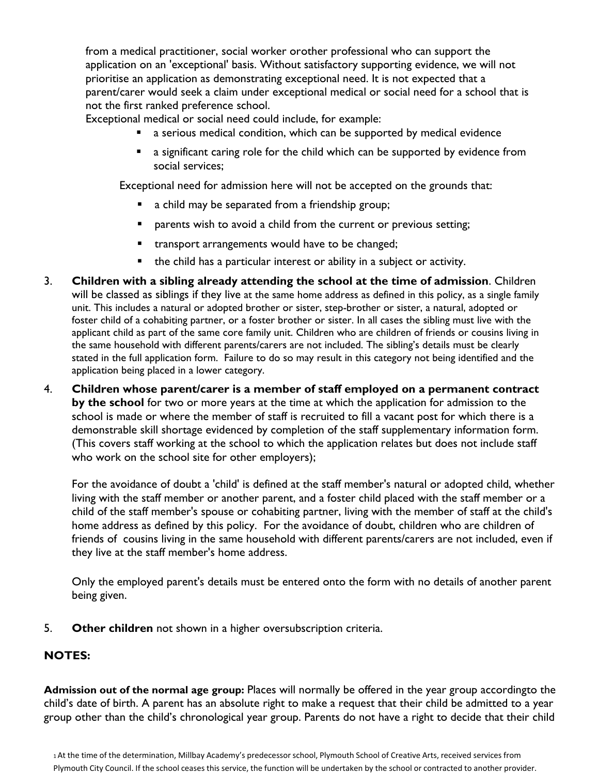from a medical practitioner, social worker orother professional who can support the application on an 'exceptional' basis. Without satisfactory supporting evidence, we will not prioritise an application as demonstrating exceptional need. It is not expected that a parent/carer would seek a claim under exceptional medical or social need for a school that is not the first ranked preference school.

Exceptional medical or social need could include, for example:

- a serious medical condition, which can be supported by medical evidence
- **a** a significant caring role for the child which can be supported by evidence from social services;

Exceptional need for admission here will not be accepted on the grounds that:

- **a** child may be separated from a friendship group;
- **Permuare 1** parents wish to avoid a child from the current or previous setting;
- **transport arrangements would have to be changed;**
- the child has a particular interest or ability in a subject or activity.
- 3. **Children with a sibling already attending the school at the time of admission**. Children will be classed as siblings if they live at the same home address as defined in this policy, as a single family unit. This includes a natural or adopted brother or sister, step-brother or sister, a natural, adopted or foster child of a cohabiting partner, or a foster brother or sister. In all cases the sibling must live with the applicant child as part of the same core family unit. Children who are children of friends or cousins living in the same household with different parents/carers are not included. The sibling's details must be clearly stated in the full application form. Failure to do so may result in this category not being identified and the application being placed in a lower category.
- 4. **Children whose parent/carer is a member of staff employed on a permanent contract by the school** for two or more years at the time at which the application for admission to the school is made or where the member of staff is recruited to fill a vacant post for which there is a demonstrable skill shortage evidenced by completion of the staff supplementary information form. (This covers staff working at the school to which the application relates but does not include staff who work on the school site for other employers);

For the avoidance of doubt a 'child' is defined at the staff member's natural or adopted child, whether living with the staff member or another parent, and a foster child placed with the staff member or a child of the staff member's spouse or cohabiting partner, living with the member of staff at the child's home address as defined by this policy. For the avoidance of doubt, children who are children of friends of cousins living in the same household with different parents/carers are not included, even if they live at the staff member's home address.

Only the employed parent's details must be entered onto the form with no details of another parent being given.

5. **Other children** not shown in a higher oversubscription criteria.

# **NOTES:**

**Admission out of the normal age group:** Places will normally be offered in the year group accordingto the child's date of birth. A parent has an absolute right to make a request that their child be admitted to a year group other than the child's chronological year group. Parents do not have a right to decide that their child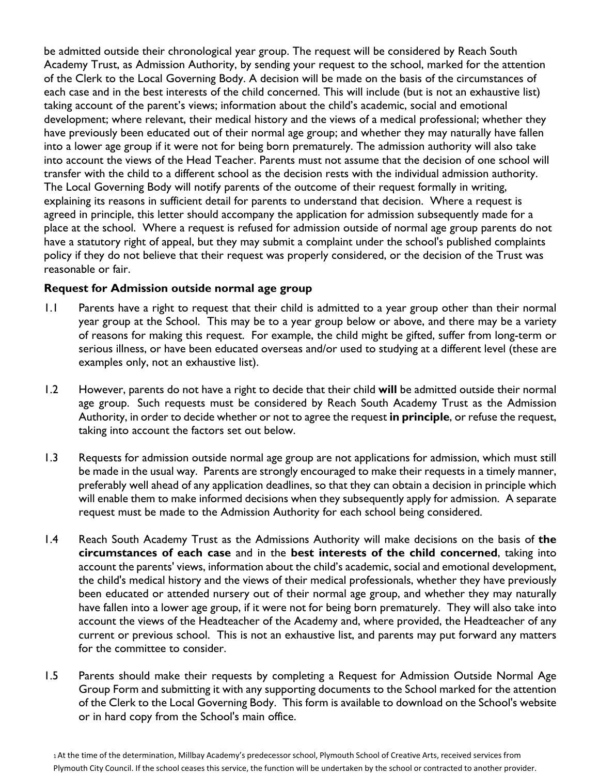be admitted outside their chronological year group. The request will be considered by Reach South Academy Trust, as Admission Authority, by sending your request to the school, marked for the attention of the Clerk to the Local Governing Body. A decision will be made on the basis of the circumstances of each case and in the best interests of the child concerned. This will include (but is not an exhaustive list) taking account of the parent's views; information about the child's academic, social and emotional development; where relevant, their medical history and the views of a medical professional; whether they have previously been educated out of their normal age group; and whether they may naturally have fallen into a lower age group if it were not for being born prematurely. The admission authority will also take into account the views of the Head Teacher. Parents must not assume that the decision of one school will transfer with the child to a different school as the decision rests with the individual admission authority. The Local Governing Body will notify parents of the outcome of their request formally in writing, explaining its reasons in sufficient detail for parents to understand that decision. Where a request is agreed in principle, this letter should accompany the application for admission subsequently made for a place at the school. Where a request is refused for admission outside of normal age group parents do not have a statutory right of appeal, but they may submit a complaint under the school's published complaints policy if they do not believe that their request was properly considered, or the decision of the Trust was reasonable or fair.

## **Request for Admission outside normal age group**

- 1.1 Parents have a right to request that their child is admitted to a year group other than their normal year group at the School. This may be to a year group below or above, and there may be a variety of reasons for making this request. For example, the child might be gifted, suffer from long-term or serious illness, or have been educated overseas and/or used to studying at a different level (these are examples only, not an exhaustive list).
- 1.2 However, parents do not have a right to decide that their child **will** be admitted outside their normal age group. Such requests must be considered by Reach South Academy Trust as the Admission Authority, in order to decide whether or not to agree the request **in principle**, or refuse the request, taking into account the factors set out below.
- 1.3 Requests for admission outside normal age group are not applications for admission, which must still be made in the usual way. Parents are strongly encouraged to make their requests in a timely manner, preferably well ahead of any application deadlines, so that they can obtain a decision in principle which will enable them to make informed decisions when they subsequently apply for admission. A separate request must be made to the Admission Authority for each school being considered.
- 1.4 Reach South Academy Trust as the Admissions Authority will make decisions on the basis of **the circumstances of each case** and in the **best interests of the child concerned**, taking into account the parents' views, information about the child's academic, social and emotional development, the child's medical history and the views of their medical professionals, whether they have previously been educated or attended nursery out of their normal age group, and whether they may naturally have fallen into a lower age group, if it were not for being born prematurely. They will also take into account the views of the Headteacher of the Academy and, where provided, the Headteacher of any current or previous school. This is not an exhaustive list, and parents may put forward any matters for the committee to consider.
- 1.5 Parents should make their requests by completing a Request for Admission Outside Normal Age Group Form and submitting it with any supporting documents to the School marked for the attention of the Clerk to the Local Governing Body. This form is available to download on the School's website or in hard copy from the School's main office.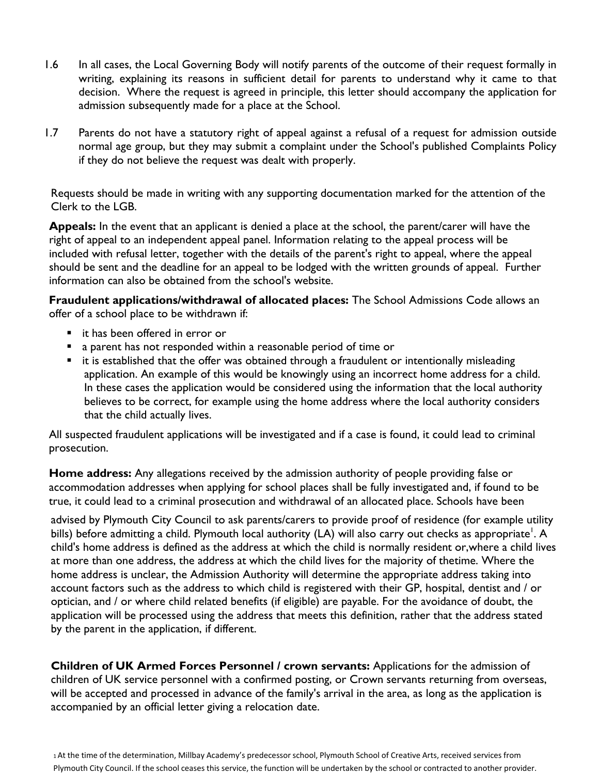- 1.6 In all cases, the Local Governing Body will notify parents of the outcome of their request formally in writing, explaining its reasons in sufficient detail for parents to understand why it came to that decision. Where the request is agreed in principle, this letter should accompany the application for admission subsequently made for a place at the School.
- 1.7 Parents do not have a statutory right of appeal against a refusal of a request for admission outside normal age group, but they may submit a complaint under the School's published Complaints Policy if they do not believe the request was dealt with properly.

Requests should be made in writing with any supporting documentation marked for the attention of the Clerk to the LGB.

**Appeals:** In the event that an applicant is denied a place at the school, the parent/carer will have the right of appeal to an independent appeal panel. Information relating to the appeal process will be included with refusal letter, together with the details of the parent's right to appeal, where the appeal should be sent and the deadline for an appeal to be lodged with the written grounds of appeal. Further information can also be obtained from the school's website.

**Fraudulent applications/withdrawal of allocated places:** The School Admissions Code allows an offer of a school place to be withdrawn if:

- it has been offered in error or
- a parent has not responded within a reasonable period of time or
- **E** it is established that the offer was obtained through a fraudulent or intentionally misleading application. An example of this would be knowingly using an incorrect home address for a child. In these cases the application would be considered using the information that the local authority believes to be correct, for example using the home address where the local authority considers that the child actually lives.

All suspected fraudulent applications will be investigated and if a case is found, it could lead to criminal prosecution.

**Home address:** Any allegations received by the admission authority of people providing false or accommodation addresses when applying for school places shall be fully investigated and, if found to be true, it could lead to a criminal prosecution and withdrawal of an allocated place. Schools have been

advised by Plymouth City Council to ask parents/carers to provide proof of residence (for example utility bills) before admitting a child. Plymouth local authority (LA) will also carry out checks as appropriate<sup>1</sup>. A child's home address is defined as the address at which the child is normally resident or,where a child lives at more than one address, the address at which the child lives for the majority of thetime. Where the home address is unclear, the Admission Authority will determine the appropriate address taking into account factors such as the address to which child is registered with their GP, hospital, dentist and / or optician, and / or where child related benefits (if eligible) are payable. For the avoidance of doubt, the application will be processed using the address that meets this definition, rather that the address stated by the parent in the application, if different.

**Children of UK Armed Forces Personnel / crown servants:** Applications for the admission of children of UK service personnel with a confirmed posting, or Crown servants returning from overseas, will be accepted and processed in advance of the family's arrival in the area, as long as the application is accompanied by an official letter giving a relocation date.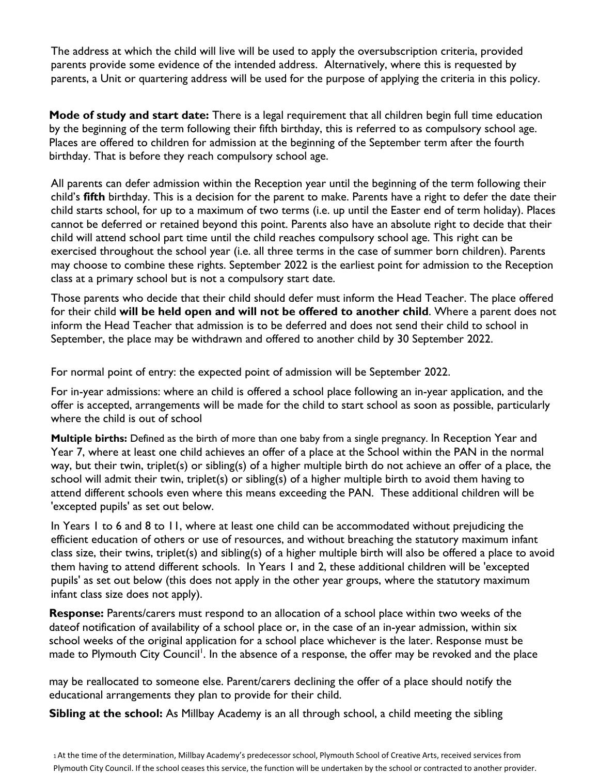The address at which the child will live will be used to apply the oversubscription criteria, provided parents provide some evidence of the intended address. Alternatively, where this is requested by parents, a Unit or quartering address will be used for the purpose of applying the criteria in this policy.

**Mode of study and start date:** There is a legal requirement that all children begin full time education by the beginning of the term following their fifth birthday, this is referred to as compulsory school age. Places are offered to children for admission at the beginning of the September term after the fourth birthday. That is before they reach compulsory school age.

All parents can defer admission within the Reception year until the beginning of the term following their child's **fifth** birthday. This is a decision for the parent to make. Parents have a right to defer the date their child starts school, for up to a maximum of two terms (i.e. up until the Easter end of term holiday). Places cannot be deferred or retained beyond this point. Parents also have an absolute right to decide that their child will attend school part time until the child reaches compulsory school age. This right can be exercised throughout the school year (i.e. all three terms in the case of summer born children). Parents may choose to combine these rights. September 2022 is the earliest point for admission to the Reception class at a primary school but is not a compulsory start date.

Those parents who decide that their child should defer must inform the Head Teacher. The place offered for their child **will be held open and will not be offered to another child**. Where a parent does not inform the Head Teacher that admission is to be deferred and does not send their child to school in September, the place may be withdrawn and offered to another child by 30 September 2022.

For normal point of entry: the expected point of admission will be September 2022.

For in-year admissions: where an child is offered a school place following an in-year application, and the offer is accepted, arrangements will be made for the child to start school as soon as possible, particularly where the child is out of school

**Multiple births:** Defined as the birth of more than one baby from a single pregnancy. In Reception Year and Year 7, where at least one child achieves an offer of a place at the School within the PAN in the normal way, but their twin, triplet(s) or sibling(s) of a higher multiple birth do not achieve an offer of a place, the school will admit their twin, triplet(s) or sibling(s) of a higher multiple birth to avoid them having to attend different schools even where this means exceeding the PAN. These additional children will be 'excepted pupils' as set out below.

In Years 1 to 6 and 8 to 11, where at least one child can be accommodated without prejudicing the efficient education of others or use of resources, and without breaching the statutory maximum infant class size, their twins, triplet(s) and sibling(s) of a higher multiple birth will also be offered a place to avoid them having to attend different schools. In Years 1 and 2, these additional children will be 'excepted pupils' as set out below (this does not apply in the other year groups, where the statutory maximum infant class size does not apply).

**Response:** Parents/carers must respond to an allocation of a school place within two weeks of the dateof notification of availability of a school place or, in the case of an in-year admission, within six school weeks of the original application for a school place whichever is the later. Response must be made to Plymouth City Council<sup>1</sup>. In the absence of a response, the offer may be revoked and the place

may be reallocated to someone else. Parent/carers declining the offer of a place should notify the educational arrangements they plan to provide for their child.

**Sibling at the school:** As Millbay Academy is an all through school, a child meeting the sibling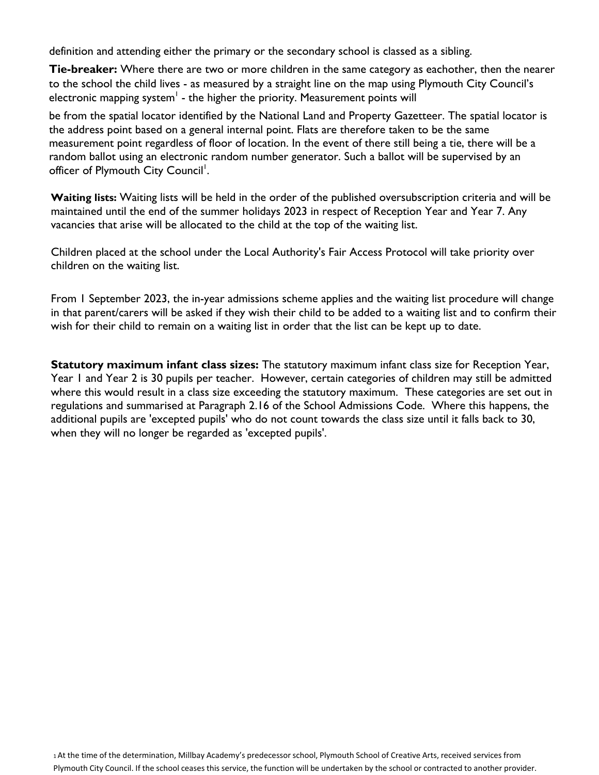definition and attending either the primary or the secondary school is classed as a sibling.

**Tie-breaker:** Where there are two or more children in the same category as eachother, then the nearer to the school the child lives - as measured by a straight line on the map using Plymouth City Council's electronic mapping system $<sup>1</sup>$  - the higher the priority. Measurement points will</sup>

be from the spatial locator identified by the National Land and Property Gazetteer. The spatial locator is the address point based on a general internal point. Flats are therefore taken to be the same measurement point regardless of floor of location. In the event of there still being a tie, there will be a random ballot using an electronic random number generator. Such a ballot will be supervised by an officer of Plymouth City Council<sup>1</sup>.

**Waiting lists:** Waiting lists will be held in the order of the published oversubscription criteria and will be maintained until the end of the summer holidays 2023 in respect of Reception Year and Year 7. Any vacancies that arise will be allocated to the child at the top of the waiting list.

Children placed at the school under the Local Authority's Fair Access Protocol will take priority over children on the waiting list.

From 1 September 2023, the in-year admissions scheme applies and the waiting list procedure will change in that parent/carers will be asked if they wish their child to be added to a waiting list and to confirm their wish for their child to remain on a waiting list in order that the list can be kept up to date.

**Statutory maximum infant class sizes:** The statutory maximum infant class size for Reception Year, Year 1 and Year 2 is 30 pupils per teacher. However, certain categories of children may still be admitted where this would result in a class size exceeding the statutory maximum. These categories are set out in regulations and summarised at Paragraph 2.16 of the School Admissions Code. Where this happens, the additional pupils are 'excepted pupils' who do not count towards the class size until it falls back to 30, when they will no longer be regarded as 'excepted pupils'.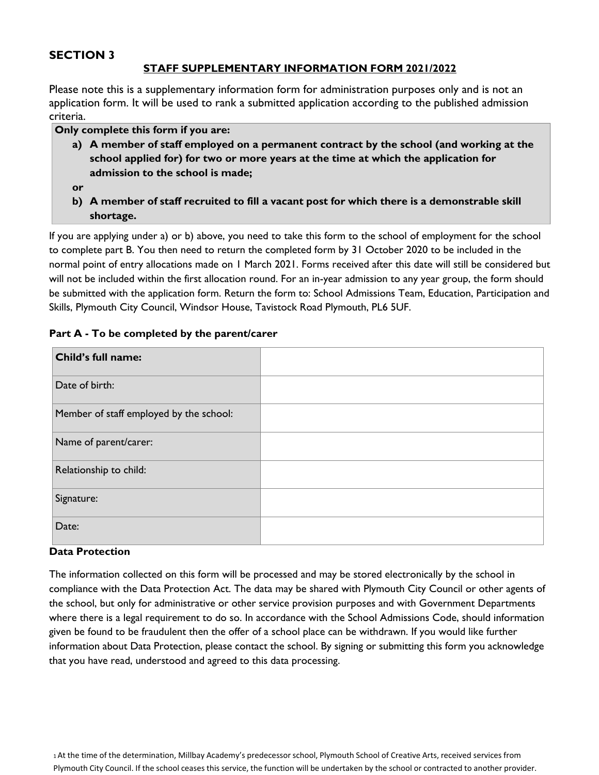## **SECTION 3**

## **STAFF SUPPLEMENTARY INFORMATION FORM 2021/2022**

Please note this is a supplementary information form for administration purposes only and is not an application form. It will be used to rank a submitted application according to the published admission criteria.

#### **Only complete this form if you are:**

**a) A member of staff employed on a permanent contract by the school (and working at the school applied for) for two or more years at the time at which the application for admission to the school is made;**

**or**

**b) A member of staff recruited to fill a vacant post for which there is a demonstrable skill shortage.**

If you are applying under a) or b) above, you need to take this form to the school of employment for the school to complete part B. You then need to return the completed form by 31 October 2020 to be included in the normal point of entry allocations made on 1 March 2021. Forms received after this date will still be considered but will not be included within the first allocation round. For an in-year admission to any year group, the form should be submitted with the application form. Return the form to: School Admissions Team, Education, Participation and Skills, Plymouth City Council, Windsor House, Tavistock Road Plymouth, PL6 5UF.

#### **Part A - To be completed by the parent/carer**

| Child's full name:                      |  |
|-----------------------------------------|--|
| Date of birth:                          |  |
| Member of staff employed by the school: |  |
| Name of parent/carer:                   |  |
| Relationship to child:                  |  |
| Signature:                              |  |
| Date:                                   |  |

#### **Data Protection**

The information collected on this form will be processed and may be stored electronically by the school in compliance with the Data Protection Act. The data may be shared with Plymouth City Council or other agents of the school, but only for administrative or other service provision purposes and with Government Departments where there is a legal requirement to do so. In accordance with the School Admissions Code, should information given be found to be fraudulent then the offer of a school place can be withdrawn. If you would like further information about Data Protection, please contact the school. By signing or submitting this form you acknowledge that you have read, understood and agreed to this data processing.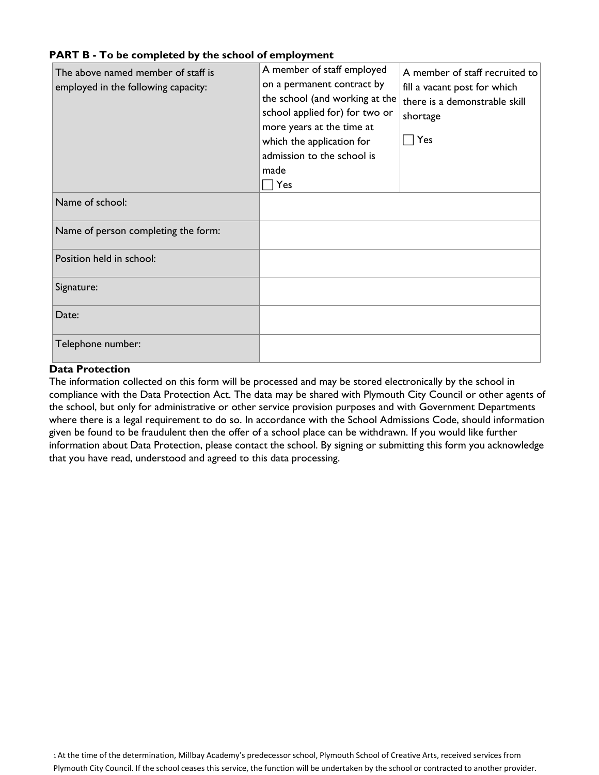#### **PART B - To be completed by the school of employment**

| The above named member of staff is<br>employed in the following capacity: | A member of staff employed<br>on a permanent contract by<br>the school (and working at the<br>school applied for) for two or<br>more years at the time at<br>which the application for<br>admission to the school is<br>made<br>Yes | A member of staff recruited to<br>fill a vacant post for which<br>there is a demonstrable skill<br>shortage<br>Yes |
|---------------------------------------------------------------------------|-------------------------------------------------------------------------------------------------------------------------------------------------------------------------------------------------------------------------------------|--------------------------------------------------------------------------------------------------------------------|
| Name of school:                                                           |                                                                                                                                                                                                                                     |                                                                                                                    |
| Name of person completing the form:                                       |                                                                                                                                                                                                                                     |                                                                                                                    |
| Position held in school:                                                  |                                                                                                                                                                                                                                     |                                                                                                                    |
| Signature:                                                                |                                                                                                                                                                                                                                     |                                                                                                                    |
| Date:                                                                     |                                                                                                                                                                                                                                     |                                                                                                                    |
| Telephone number:                                                         |                                                                                                                                                                                                                                     |                                                                                                                    |

#### **Data Protection**

The information collected on this form will be processed and may be stored electronically by the school in compliance with the Data Protection Act. The data may be shared with Plymouth City Council or other agents of the school, but only for administrative or other service provision purposes and with Government Departments where there is a legal requirement to do so. In accordance with the School Admissions Code, should information given be found to be fraudulent then the offer of a school place can be withdrawn. If you would like further information about Data Protection, please contact the school. By signing or submitting this form you acknowledge that you have read, understood and agreed to this data processing.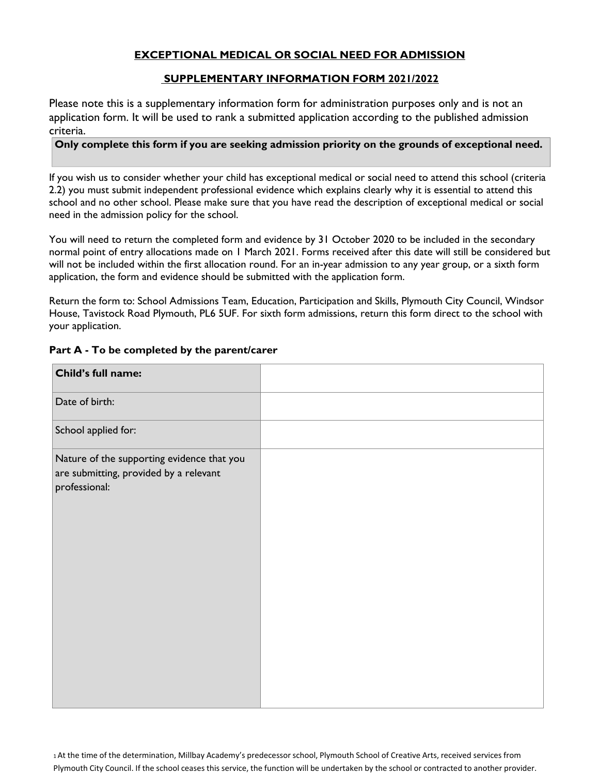## **EXCEPTIONAL MEDICAL OR SOCIAL NEED FOR ADMISSION**

#### **SUPPLEMENTARY INFORMATION FORM 2021/2022**

Please note this is a supplementary information form for administration purposes only and is not an application form. It will be used to rank a submitted application according to the published admission criteria.

#### **Only complete this form if you are seeking admission priority on the grounds of exceptional need.**

If you wish us to consider whether your child has exceptional medical or social need to attend this school (criteria 2.2) you must submit independent professional evidence which explains clearly why it is essential to attend this school and no other school. Please make sure that you have read the description of exceptional medical or social need in the admission policy for the school.

You will need to return the completed form and evidence by 31 October 2020 to be included in the secondary normal point of entry allocations made on 1 March 2021. Forms received after this date will still be considered but will not be included within the first allocation round. For an in-year admission to any year group, or a sixth form application, the form and evidence should be submitted with the application form.

Return the form to: School Admissions Team, Education, Participation and Skills, Plymouth City Council, Windsor House, Tavistock Road Plymouth, PL6 5UF. For sixth form admissions, return this form direct to the school with your application.

# **Child's full name:** Date of birth: School applied for: Nature of the supporting evidence that you are submitting, provided by a relevant professional:

#### **Part A - To be completed by the parent/carer**

1At the time of the determination, Millbay Academy's predecessor school, Plymouth School of Creative Arts, received services from Plymouth City Council. If the school ceases this service, the function will be undertaken by the school or contracted to another provider.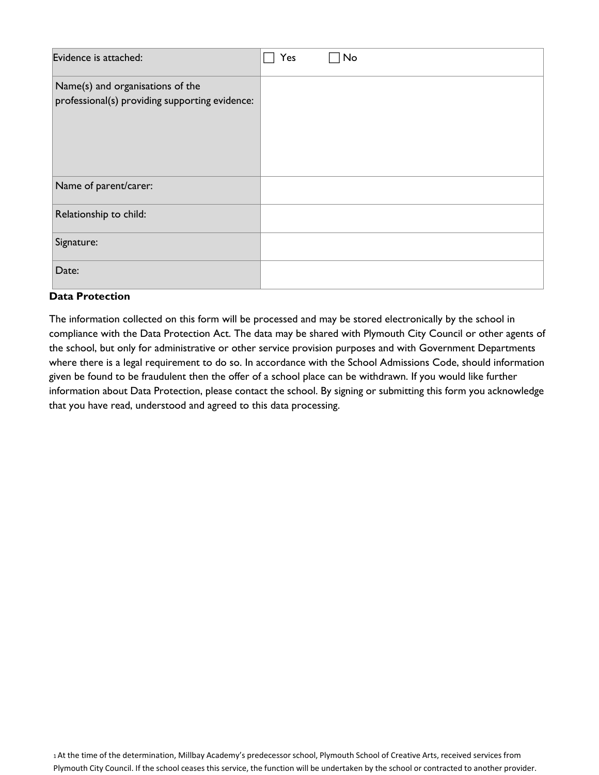| Evidence is attached:                                                              | Yes | No |
|------------------------------------------------------------------------------------|-----|----|
| Name(s) and organisations of the<br>professional(s) providing supporting evidence: |     |    |
| Name of parent/carer:                                                              |     |    |
| Relationship to child:                                                             |     |    |
| Signature:                                                                         |     |    |
| Date:                                                                              |     |    |

## **Data Protection**

The information collected on this form will be processed and may be stored electronically by the school in compliance with the Data Protection Act. The data may be shared with Plymouth City Council or other agents of the school, but only for administrative or other service provision purposes and with Government Departments where there is a legal requirement to do so. In accordance with the School Admissions Code, should information given be found to be fraudulent then the offer of a school place can be withdrawn. If you would like further information about Data Protection, please contact the school. By signing or submitting this form you acknowledge that you have read, understood and agreed to this data processing.